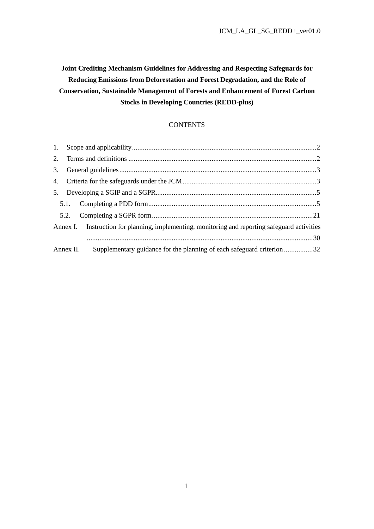**Joint Crediting Mechanism Guidelines for Addressing and Respecting Safeguards for Reducing Emissions from Deforestation and Forest Degradation, and the Role of Conservation, Sustainable Management of Forests and Enhancement of Forest Carbon Stocks in Developing Countries (REDD-plus)** 

### **CONTENTS**

| Annex I. Instruction for planning, implementing, monitoring and reporting safeguard activities |  |
|------------------------------------------------------------------------------------------------|--|
|                                                                                                |  |
| Supplementary guidance for the planning of each safeguard criterion32<br>Annex II.             |  |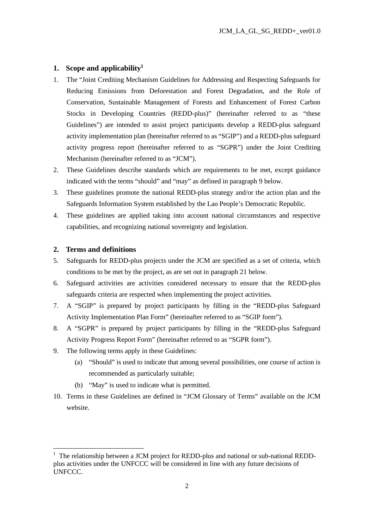## **1. Scope and applicability<sup>1</sup>**

- 1. The "Joint Crediting Mechanism Guidelines for Addressing and Respecting Safeguards for Reducing Emissions from Deforestation and Forest Degradation, and the Role of Conservation, Sustainable Management of Forests and Enhancement of Forest Carbon Stocks in Developing Countries (REDD-plus)" (hereinafter referred to as "these Guidelines") are intended to assist project participants develop a REDD-plus safeguard activity implementation plan (hereinafter referred to as "SGIP") and a REDD-plus safeguard activity progress report (hereinafter referred to as "SGPR") under the Joint Crediting Mechanism (hereinafter referred to as "JCM").
- 2. These Guidelines describe standards which are requirements to be met, except guidance indicated with the terms "should" and "may" as defined in paragraph 9 below.
- 3. These guidelines promote the national REDD-plus strategy and/or the action plan and the Safeguards Information System established by the Lao People's Democratic Republic.
- 4. These guidelines are applied taking into account national circumstances and respective capabilities, and recognizing national sovereignty and legislation.

#### **2. Terms and definitions**

- 5. Safeguards for REDD-plus projects under the JCM are specified as a set of criteria, which conditions to be met by the project, as are set out in paragraph 21 below.
- 6. Safeguard activities are activities considered necessary to ensure that the REDD-plus safeguards criteria are respected when implementing the project activities.
- 7. A "SGIP" is prepared by project participants by filling in the "REDD-plus Safeguard Activity Implementation Plan Form" (hereinafter referred to as "SGIP form").
- 8. A "SGPR" is prepared by project participants by filling in the "REDD-plus Safeguard Activity Progress Report Form" (hereinafter referred to as "SGPR form").
- 9. The following terms apply in these Guidelines:
	- (a) "Should" is used to indicate that among several possibilities, one course of action is recommended as particularly suitable;
	- (b) "May" is used to indicate what is permitted.
- 10. Terms in these Guidelines are defined in "JCM Glossary of Terms" available on the JCM website.

<sup>&</sup>lt;sup>1</sup> The relationship between a JCM project for REDD-plus and national or sub-national REDDplus activities under the UNFCCC will be considered in line with any future decisions of UNFCCC.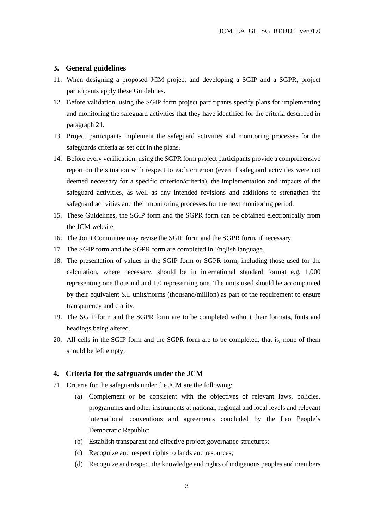#### **3. General guidelines**

- 11. When designing a proposed JCM project and developing a SGIP and a SGPR, project participants apply these Guidelines.
- 12. Before validation, using the SGIP form project participants specify plans for implementing and monitoring the safeguard activities that they have identified for the criteria described in paragraph 21.
- 13. Project participants implement the safeguard activities and monitoring processes for the safeguards criteria as set out in the plans.
- 14. Before every verification, using the SGPR form project participants provide a comprehensive report on the situation with respect to each criterion (even if safeguard activities were not deemed necessary for a specific criterion/criteria), the implementation and impacts of the safeguard activities, as well as any intended revisions and additions to strengthen the safeguard activities and their monitoring processes for the next monitoring period.
- 15. These Guidelines, the SGIP form and the SGPR form can be obtained electronically from the JCM website.
- 16. The Joint Committee may revise the SGIP form and the SGPR form, if necessary.
- 17. The SGIP form and the SGPR form are completed in English language.
- 18. The presentation of values in the SGIP form or SGPR form, including those used for the calculation, where necessary, should be in international standard format e.g. 1,000 representing one thousand and 1.0 representing one. The units used should be accompanied by their equivalent S.I. units/norms (thousand/million) as part of the requirement to ensure transparency and clarity.
- 19. The SGIP form and the SGPR form are to be completed without their formats, fonts and headings being altered.
- 20. All cells in the SGIP form and the SGPR form are to be completed, that is, none of them should be left empty.

#### **4. Criteria for the safeguards under the JCM**

- 21. Criteria for the safeguards under the JCM are the following:
	- (a) Complement or be consistent with the objectives of relevant laws, policies, programmes and other instruments at national, regional and local levels and relevant international conventions and agreements concluded by the Lao People's Democratic Republic;
	- (b) Establish transparent and effective project governance structures;
	- (c) Recognize and respect rights to lands and resources;
	- (d) Recognize and respect the knowledge and rights of indigenous peoples and members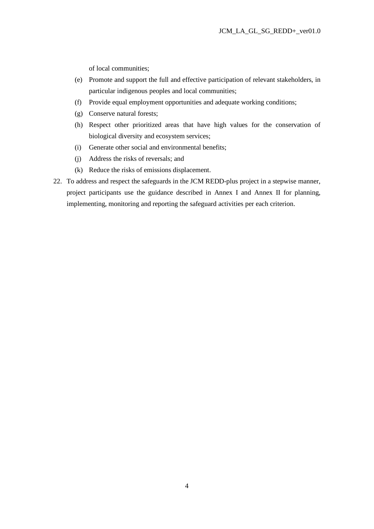of local communities;

- (e) Promote and support the full and effective participation of relevant stakeholders, in particular indigenous peoples and local communities;
- (f) Provide equal employment opportunities and adequate working conditions;
- (g) Conserve natural forests;
- (h) Respect other prioritized areas that have high values for the conservation of biological diversity and ecosystem services;
- (i) Generate other social and environmental benefits;
- (j) Address the risks of reversals; and
- (k) Reduce the risks of emissions displacement.
- 22. To address and respect the safeguards in the JCM REDD-plus project in a stepwise manner, project participants use the guidance described in Annex I and Annex II for planning, implementing, monitoring and reporting the safeguard activities per each criterion.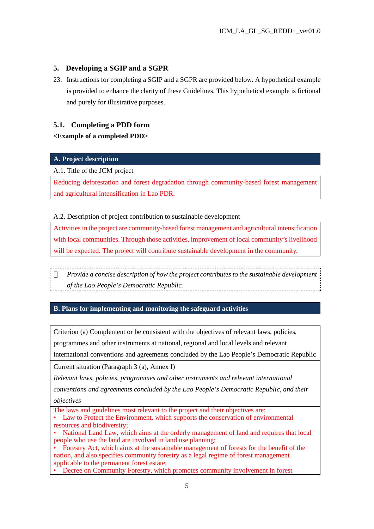# **5. Developing a SGIP and a SGPR**

23. Instructions for completing a SGIP and a SGPR are provided below. A hypothetical example is provided to enhance the clarity of these Guidelines. This hypothetical example is fictional and purely for illustrative purposes.

## **5.1. Completing a PDD form**

## **<Example of a completed PDD>**

## **A. Project description**

## A.1. Title of the JCM project

Reducing deforestation and forest degradation through community-based forest management and agricultural intensification in Lao PDR.

## A.2. Description of project contribution to sustainable development

Activities in the project are community-based forest management and agricultural intensification with local communities. Through those activities, improvement of local community's livelihood will be expected. The project will contribute sustainable development in the community.

*Provide a concise description of how the project contributes to the sustainable development of the Lao People's Democratic Republic.*

### **B. Plans for implementing and monitoring the safeguard activities**

Criterion (a) Complement or be consistent with the objectives of relevant laws, policies, programmes and other instruments at national, regional and local levels and relevant international conventions and agreements concluded by the Lao People's Democratic Republic

Current situation (Paragraph 3 (a), Annex I)

*Relevant laws, policies, programmes and other instruments and relevant international* 

*conventions and agreements concluded by the Lao People's Democratic Republic, and their objectives* 

The laws and guidelines most relevant to the project and their objectives are:

- Law to Protect the Environment, which supports the conservation of environmental resources and biodiversity;
- National Land Law, which aims at the orderly management of land and requires that local people who use the land are involved in land use planning;

• Forestry Act, which aims at the sustainable management of forests for the benefit of the nation, and also specifies community forestry as a legal regime of forest management applicable to the permanent forest estate;

• Decree on Community Forestry, which promotes community involvement in forest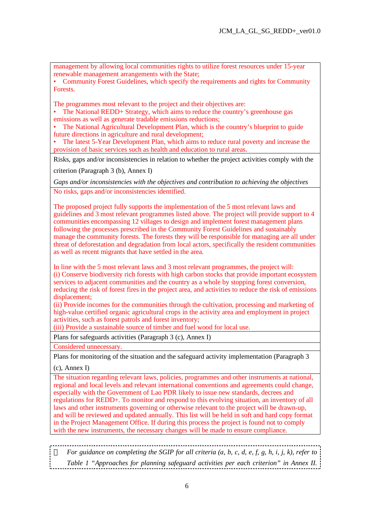management by allowing local communities rights to utilize forest resources under 15-year renewable management arrangements with the State;

• Community Forest Guidelines, which specify the requirements and rights for Community Forests.

The programmes most relevant to the project and their objectives are:

• The National REDD+ Strategy, which aims to reduce the country's greenhouse gas emissions as well as generate tradable emissions reductions;

The National Agricultural Development Plan, which is the country's blueprint to guide future directions in agriculture and rural development;

• The latest 5-Year Development Plan, which aims to reduce rural poverty and increase the provision of basic services such as health and education to rural areas.

Risks, gaps and/or inconsistencies in relation to whether the project activities comply with the

criterion (Paragraph 3 (b), Annex I)

*Gaps and/or inconsistencies with the objectives and contribution to achieving the objectives*  No risks, gaps and/or inconsistencies identified.

The proposed project fully supports the implementation of the 5 most relevant laws and guidelines and 3 most relevant programmes listed above. The project will provide support to 4 communities encompassing 12 villages to design and implement forest management plans following the processes prescribed in the Community Forest Guidelines and sustainably manage the community forests. The forests they will be responsible for managing are all under threat of deforestation and degradation from local actors, specifically the resident communities as well as recent migrants that have settled in the area.

In line with the 5 most relevant laws and 3 most relevant programmes, the project will: (i) Conserve biodiversity rich forests with high carbon stocks that provide important ecosystem services to adjacent communities and the country as a whole by stopping forest conversion, reducing the risk of forest fires in the project area, and activities to reduce the risk of emissions displacement;

(ii) Provide incomes for the communities through the cultivation, processing and marketing of high-value certified organic agricultural crops in the activity area and employment in project activities, such as forest patrols and forest inventory;

(iii) Provide a sustainable source of timber and fuel wood for local use.

Plans for safeguards activities (Paragraph 3 (c), Annex I)

Considered unnecessary.

Plans for monitoring of the situation and the safeguard activity implementation (Paragraph 3

(c), Annex I)

The situation regarding relevant laws, policies, programmes and other instruments at national, regional and local levels and relevant international conventions and agreements could change, especially with the Government of Lao PDR likely to issue new standards, decrees and regulations for REDD+. To monitor and respond to this evolving situation, an inventory of all laws and other instruments governing or otherwise relevant to the project will be drawn-up, and will be reviewed and updated annually. This list will be held in soft and hard copy format in the Project Management Office. If during this process the project is found not to comply with the new instruments, the necessary changes will be made to ensure compliance.

*For guidance on completing the SGIP for all criteria (a, b, c, d, e, f, g, h, i, j, k), refer to Table 1 "Approaches for planning safeguard activities per each criterion" in Annex II.*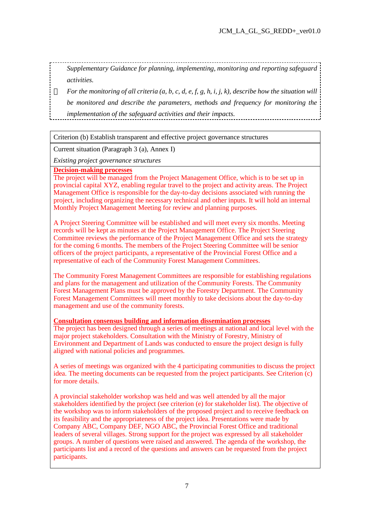*Supplementary Guidance for planning, implementing, monitoring and reporting safeguard activities.* 

*For the monitoring of all criteria (a, b, c, d, e, f, g, h, i, j, k), describe how the situation will be monitored and describe the parameters, methods and frequency for monitoring the implementation of the safeguard activities and their impacts.* 

Criterion (b) Establish transparent and effective project governance structures

Current situation (Paragraph 3 (a), Annex I)

*Existing project governance structures* 

**Decision-making processes**

The project will be managed from the Project Management Office, which is to be set up in provincial capital XYZ, enabling regular travel to the project and activity areas. The Project Management Office is responsible for the day-to-day decisions associated with running the project, including organizing the necessary technical and other inputs. It will hold an internal Monthly Project Management Meeting for review and planning purposes.

A Project Steering Committee will be established and will meet every six months. Meeting records will be kept as minutes at the Project Management Office. The Project Steering Committee reviews the performance of the Project Management Office and sets the strategy for the coming 6 months. The members of the Project Steering Committee will be senior officers of the project participants, a representative of the Provincial Forest Office and a representative of each of the Community Forest Management Committees.

The Community Forest Management Committees are responsible for establishing regulations and plans for the management and utilization of the Community Forests. The Community Forest Management Plans must be approved by the Forestry Department. The Community Forest Management Committees will meet monthly to take decisions about the day-to-day management and use of the community forests.

#### **Consultation consensus building and information dissemination processes**

The project has been designed through a series of meetings at national and local level with the major project stakeholders. Consultation with the Ministry of Forestry, Ministry of Environment and Department of Lands was conducted to ensure the project design is fully aligned with national policies and programmes.

A series of meetings was organized with the 4 participating communities to discuss the project idea. The meeting documents can be requested from the project participants. See Criterion (c) for more details.

A provincial stakeholder workshop was held and was well attended by all the major stakeholders identified by the project (see criterion (e) for stakeholder list). The objective of the workshop was to inform stakeholders of the proposed project and to receive feedback on its feasibility and the appropriateness of the project idea. Presentations were made by Company ABC, Company DEF, NGO ABC, the Provincial Forest Office and traditional leaders of several villages. Strong support for the project was expressed by all stakeholder groups. A number of questions were raised and answered. The agenda of the workshop, the participants list and a record of the questions and answers can be requested from the project participants.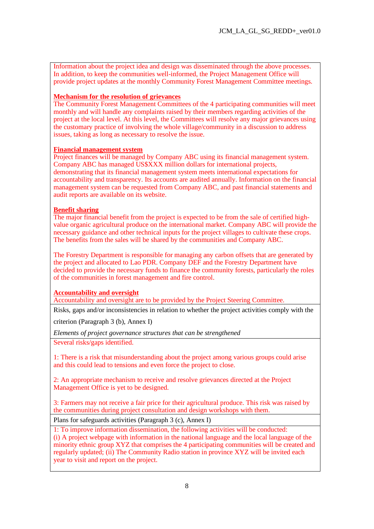Information about the project idea and design was disseminated through the above processes. In addition, to keep the communities well-informed, the Project Management Office will provide project updates at the monthly Community Forest Management Committee meetings.

### **Mechanism for the resolution of grievances**

The Community Forest Management Committees of the 4 participating communities will meet monthly and will handle any complaints raised by their members regarding activities of the project at the local level. At this level, the Committees will resolve any major grievances using the customary practice of involving the whole village/community in a discussion to address issues, taking as long as necessary to resolve the issue.

#### **Financial management system**

Project finances will be managed by Company ABC using its financial management system. Company ABC has managed US\$XXX million dollars for international projects, demonstrating that its financial management system meets international expectations for accountability and transparency. Its accounts are audited annually. Information on the financial management system can be requested from Company ABC, and past financial statements and audit reports are available on its website.

#### **Benefit sharing**

The major financial benefit from the project is expected to be from the sale of certified highvalue organic agricultural produce on the international market. Company ABC will provide the necessary guidance and other technical inputs for the project villages to cultivate these crops. The benefits from the sales will be shared by the communities and Company ABC.

The Forestry Department is responsible for managing any carbon offsets that are generated by the project and allocated to Lao PDR. Company DEF and the Forestry Department have decided to provide the necessary funds to finance the community forests, particularly the roles of the communities in forest management and fire control.

**Accountability and oversight** 

Accountability and oversight are to be provided by the Project Steering Committee.

Risks, gaps and/or inconsistencies in relation to whether the project activities comply with the

criterion (Paragraph 3 (b), Annex I)

*Elements of project governance structures that can be strengthened* 

Several risks/gaps identified.

1: There is a risk that misunderstanding about the project among various groups could arise and this could lead to tensions and even force the project to close.

2: An appropriate mechanism to receive and resolve grievances directed at the Project Management Office is yet to be designed.

3: Farmers may not receive a fair price for their agricultural produce. This risk was raised by the communities during project consultation and design workshops with them.

Plans for safeguards activities (Paragraph 3 (c), Annex I)

1: To improve information dissemination, the following activities will be conducted: (i) A project webpage with information in the national language and the local language of the minority ethnic group XYZ that comprises the 4 participating communities will be created and regularly updated; (ii) The Community Radio station in province XYZ will be invited each year to visit and report on the project.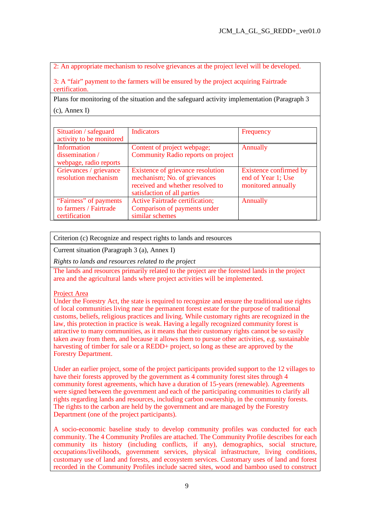2: An appropriate mechanism to resolve grievances at the project level will be developed.

3: A "fair" payment to the farmers will be ensured by the project acquiring Fairtrade certification.

Plans for monitoring of the situation and the safeguard activity implementation (Paragraph 3 (c), Annex I)

| Situation / safeguard<br>activity to be monitored                 | <b>Indicators</b>                                                                                                                    | Frequency                                                          |
|-------------------------------------------------------------------|--------------------------------------------------------------------------------------------------------------------------------------|--------------------------------------------------------------------|
| Information<br>dissemination/<br>webpage, radio reports           | Content of project webpage;<br>Community Radio reports on project                                                                    | Annually                                                           |
| Grievances / grievance<br>resolution mechanism                    | Existence of grievance resolution<br>mechanism; No. of grievances<br>received and whether resolved to<br>satisfaction of all parties | Existence confirmed by<br>end of Year 1; Use<br>monitored annually |
| "Fairness" of payments<br>to farmers / Fairtrade<br>certification | <b>Active Fairtrade certification;</b><br>Comparison of payments under<br>similar schemes                                            | Annually                                                           |

Criterion (c) Recognize and respect rights to lands and resources

Current situation (Paragraph 3 (a), Annex I)

*Rights to lands and resources related to the project* 

The lands and resources primarily related to the project are the forested lands in the project area and the agricultural lands where project activities will be implemented.

#### Project Area

Under the Forestry Act, the state is required to recognize and ensure the traditional use rights of local communities living near the permanent forest estate for the purpose of traditional customs, beliefs, religious practices and living. While customary rights are recognized in the law, this protection in practice is weak. Having a legally recognized community forest is attractive to many communities, as it means that their customary rights cannot be so easily taken away from them, and because it allows them to pursue other activities, e.g. sustainable harvesting of timber for sale or a REDD+ project, so long as these are approved by the Forestry Department.

Under an earlier project, some of the project participants provided support to the 12 villages to have their forests approved by the government as 4 community forest sites through 4 community forest agreements, which have a duration of 15-years (renewable). Agreements were signed between the government and each of the participating communities to clarify all rights regarding lands and resources, including carbon ownership, in the community forests. The rights to the carbon are held by the government and are managed by the Forestry Department (one of the project participants).

A socio-economic baseline study to develop community profiles was conducted for each community. The 4 Community Profiles are attached. The Community Profile describes for each community its history (including conflicts, if any), demographics, social structure, occupations/livelihoods, government services, physical infrastructure, living conditions, customary use of land and forests, and ecosystem services. Customary uses of land and forest recorded in the Community Profiles include sacred sites, wood and bamboo used to construct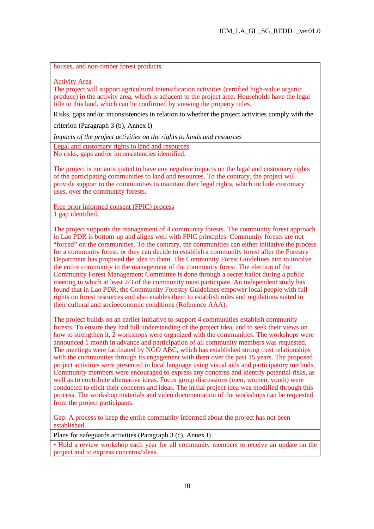houses, and non-timber forest products.

Activity Area

The project will support agricultural intensification activities (certified high-value organic produce) in the activity area, which is adjacent to the project area. Households have the legal title to this land, which can be confirmed by viewing the property titles.

Risks, gaps and/or inconsistencies in relation to whether the project activities comply with the

criterion (Paragraph 3 (b), Annex I)

*Impacts of the project activities on the rights to lands and resources* 

Legal and customary rights to land and resources No risks, gaps and/or inconsistencies identified.

The project is not anticipated to have any negative impacts on the legal and customary rights of the participating communities to land and resources. To the contrary, the project will provide support to the communities to maintain their legal rights, which include customary uses, over the community forests.

Free prior informed consent (FPIC) process 1 gap identified.

The project supports the management of 4 community forests. The community forest approach in Lao PDR is bottom-up and aligns well with FPIC principles. Community forests are not "forced" on the communities. To the contrary, the communities can either initiative the process for a community forest, or they can decide to establish a community forest after the Forestry Department has proposed the idea to them. The Community Forest Guidelines aim to involve the entire community in the management of the community forest. The election of the Community Forest Management Committee is done through a secret ballot during a public meeting in which at least 2/3 of the community must participate. An independent study has found that in Lao PDR, the Community Forestry Guidelines empower local people with full rights on forest resources and also enables them to establish rules and regulations suited to their cultural and socioeconomic conditions (Reference AAA).

The project builds on an earlier initiative to support 4 communities establish community forests. To ensure they had full understanding of the project idea, and to seek their views on how to strengthen it, 2 workshops were organized with the communities. The workshops were announced 1 month in advance and participation of all community members was requested. The meetings were facilitated by NGO ABC, which has established strong trust relationships with the communities through its engagement with them over the past 15 years. The proposed project activities were presented in local language using visual aids and participatory methods. Community members were encouraged to express any concerns and identify potential risks, as well as to contribute alternative ideas. Focus group discussions (men, women, youth) were conducted to elicit their concerns and ideas. The initial project idea was modified through this process. The workshop materials and video documentation of the workshops can be requested from the project participants.

Gap: A process to keep the entire community informed about the project has not been established.

Plans for safeguards activities (Paragraph 3 (c), Annex I)

• Hold a review workshop each year for all community members to receive an update on the project and to express concerns/ideas.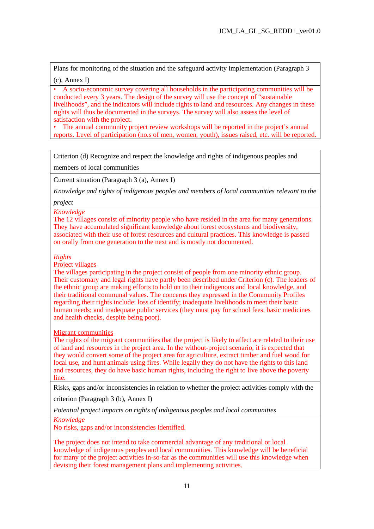Plans for monitoring of the situation and the safeguard activity implementation (Paragraph 3

(c), Annex I)

• A socio-economic survey covering all households in the participating communities will be conducted every 3 years. The design of the survey will use the concept of "sustainable livelihoods", and the indicators will include rights to land and resources. Any changes in these rights will thus be documented in the surveys. The survey will also assess the level of satisfaction with the project.

• The annual community project review workshops will be reported in the project's annual reports. Level of participation (no.s of men, women, youth), issues raised, etc. will be reported.

Criterion (d) Recognize and respect the knowledge and rights of indigenous peoples and members of local communities

Current situation (Paragraph 3 (a), Annex I)

*Knowledge and rights of indigenous peoples and members of local communities relevant to the* 

*project* 

*Knowledge*

The 12 villages consist of minority people who have resided in the area for many generations. They have accumulated significant knowledge about forest ecosystems and biodiversity, associated with their use of forest resources and cultural practices. This knowledge is passed on orally from one generation to the next and is mostly not documented.

*Rights* 

Project villages

The villages participating in the project consist of people from one minority ethnic group. Their customary and legal rights have partly been described under Criterion (c). The leaders of the ethnic group are making efforts to hold on to their indigenous and local knowledge, and their traditional communal values. The concerns they expressed in the Community Profiles regarding their rights include: loss of identify; inadequate livelihoods to meet their basic human needs; and inadequate public services (they must pay for school fees, basic medicines and health checks, despite being poor).

Migrant communities

The rights of the migrant communities that the project is likely to affect are related to their use of land and resources in the project area. In the without-project scenario, it is expected that they would convert some of the project area for agriculture, extract timber and fuel wood for local use, and hunt animals using fires. While legally they do not have the rights to this land and resources, they do have basic human rights, including the right to live above the poverty line.

Risks, gaps and/or inconsistencies in relation to whether the project activities comply with the

criterion (Paragraph 3 (b), Annex I)

*Potential project impacts on rights of indigenous peoples and local communities* 

*Knowledge*

No risks, gaps and/or inconsistencies identified.

The project does not intend to take commercial advantage of any traditional or local knowledge of indigenous peoples and local communities. This knowledge will be beneficial for many of the project activities in-so-far as the communities will use this knowledge when devising their forest management plans and implementing activities.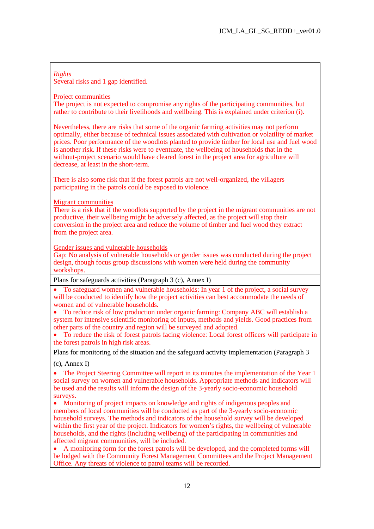#### *Rights*  Several risks and 1 gap identified.

#### Project communities

The project is not expected to compromise any rights of the participating communities, but rather to contribute to their livelihoods and wellbeing. This is explained under criterion (i).

Nevertheless, there are risks that some of the organic farming activities may not perform optimally, either because of technical issues associated with cultivation or volatility of market prices. Poor performance of the woodlots planted to provide timber for local use and fuel wood is another risk. If these risks were to eventuate, the wellbeing of households that in the without-project scenario would have cleared forest in the project area for agriculture will decrease, at least in the short-term.

There is also some risk that if the forest patrols are not well-organized, the villagers participating in the patrols could be exposed to violence.

#### **Migrant communities**

There is a risk that if the woodlots supported by the project in the migrant communities are not productive, their wellbeing might be adversely affected, as the project will stop their conversion in the project area and reduce the volume of timber and fuel wood they extract from the project area.

Gender issues and vulnerable households

Gap: No analysis of vulnerable households or gender issues was conducted during the project design, though focus group discussions with women were held during the community workshops.

Plans for safeguards activities (Paragraph 3 (c), Annex I)

· To safeguard women and vulnerable households: In year 1 of the project, a social survey will be conducted to identify how the project activities can best accommodate the needs of women and of vulnerable households.

· To reduce risk of low production under organic farming: Company ABC will establish a system for intensive scientific monitoring of inputs, methods and yields. Good practices from other parts of the country and region will be surveyed and adopted.

· To reduce the risk of forest patrols facing violence: Local forest officers will participate in the forest patrols in high risk areas.

Plans for monitoring of the situation and the safeguard activity implementation (Paragraph 3

(c), Annex I)

The Project Steering Committee will report in its minutes the implementation of the Year 1 social survey on women and vulnerable households. Appropriate methods and indicators will be used and the results will inform the design of the 3-yearly socio-economic household surveys.

· Monitoring of project impacts on knowledge and rights of indigenous peoples and members of local communities will be conducted as part of the 3-yearly socio-economic household surveys. The methods and indicators of the household survey will be developed within the first year of the project. Indicators for women's rights, the wellbeing of vulnerable households, and the rights (including wellbeing) of the participating in communities and affected migrant communities, will be included.

· A monitoring form for the forest patrols will be developed, and the completed forms will be lodged with the Community Forest Management Committees and the Project Management Office. Any threats of violence to patrol teams will be recorded.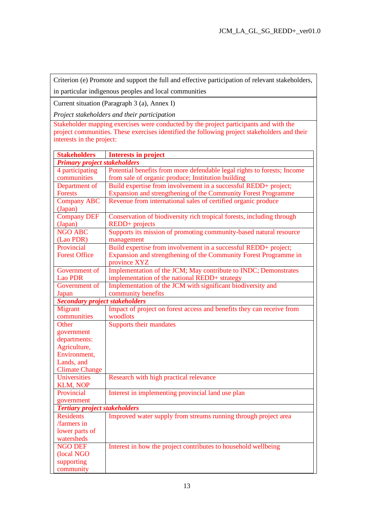Criterion (e) Promote and support the full and effective participation of relevant stakeholders, in particular indigenous peoples and local communities

Current situation (Paragraph 3 (a), Annex I)

*Project stakeholders and their participation* 

Stakeholder mapping exercises were conducted by the project participants and with the project communities. These exercises identified the following project stakeholders and their interests in the project:

| <b>Stakeholders</b>                   | <b>Interests in project</b>                                             |  |  |  |
|---------------------------------------|-------------------------------------------------------------------------|--|--|--|
| <b>Primary project stakeholders</b>   |                                                                         |  |  |  |
| 4 participating                       | Potential benefits from more defendable legal rights to forests; Income |  |  |  |
| communities                           | from sale of organic produce; Institution building                      |  |  |  |
| Department of                         | Build expertise from involvement in a successful REDD+ project;         |  |  |  |
| <b>Forests</b>                        | Expansion and strengthening of the Community Forest Programme           |  |  |  |
| <b>Company ABC</b>                    | Revenue from international sales of certified organic produce           |  |  |  |
| (Japan)                               |                                                                         |  |  |  |
| <b>Company DEF</b>                    | Conservation of biodiversity rich tropical forests, including through   |  |  |  |
| (Japan)                               | REDD+ projects                                                          |  |  |  |
| <b>NGO ABC</b>                        | Supports its mission of promoting community-based natural resource      |  |  |  |
| (Lao PDR)                             | management                                                              |  |  |  |
| Provincial                            | Build expertise from involvement in a successful REDD+ project;         |  |  |  |
| <b>Forest Office</b>                  | Expansion and strengthening of the Community Forest Programme in        |  |  |  |
|                                       | province XYZ                                                            |  |  |  |
| Government of                         | Implementation of the JCM; May contribute to INDC; Demonstrates         |  |  |  |
| Lao PDR                               | implementation of the national REDD+ strategy                           |  |  |  |
| Government of                         | Implementation of the JCM with significant biodiversity and             |  |  |  |
| Japan                                 | community benefits                                                      |  |  |  |
| <b>Secondary project stakeholders</b> |                                                                         |  |  |  |
| Migrant                               | Impact of project on forest access and benefits they can receive from   |  |  |  |
| communities                           | woodlots                                                                |  |  |  |
| Other                                 | <b>Supports their mandates</b>                                          |  |  |  |
| government                            |                                                                         |  |  |  |
| departments:                          |                                                                         |  |  |  |
| Agriculture,                          |                                                                         |  |  |  |
| Environment,                          |                                                                         |  |  |  |
| Lands, and                            |                                                                         |  |  |  |
| <b>Climate Change</b>                 |                                                                         |  |  |  |
| <b>Universities</b>                   | Research with high practical relevance                                  |  |  |  |
| <b>KLM, NOP</b>                       |                                                                         |  |  |  |
| Provincial                            | Interest in implementing provincial land use plan                       |  |  |  |
| government                            |                                                                         |  |  |  |
| <b>Tertiary project stakeholders</b>  |                                                                         |  |  |  |
| <b>Residents</b>                      | Improved water supply from streams running through project area         |  |  |  |
| /farmers in                           |                                                                         |  |  |  |
| lower parts of                        |                                                                         |  |  |  |
| watersheds                            |                                                                         |  |  |  |
| <b>NGO DEF</b>                        | Interest in how the project contributes to household wellbeing          |  |  |  |
| (local NGO                            |                                                                         |  |  |  |
| supporting                            |                                                                         |  |  |  |
| community                             |                                                                         |  |  |  |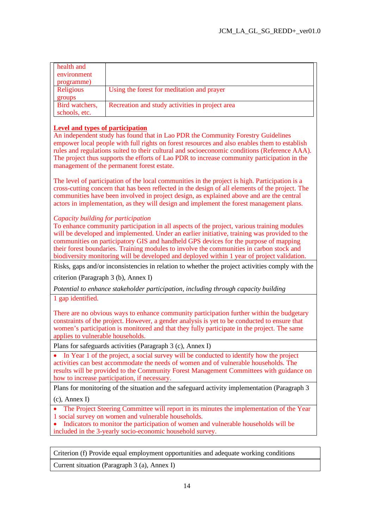| health and<br>environment<br>programme) |                                                 |
|-----------------------------------------|-------------------------------------------------|
| Religious<br>groups                     | Using the forest for meditation and prayer      |
| Bird watchers,<br>schools, etc.         | Recreation and study activities in project area |

## **Level and types of participation**

An independent study has found that in Lao PDR the Community Forestry Guidelines empower local people with full rights on forest resources and also enables them to establish rules and regulations suited to their cultural and socioeconomic conditions (Reference AAA). The project thus supports the efforts of Lao PDR to increase community participation in the management of the permanent forest estate.

The level of participation of the local communities in the project is high. Participation is a cross-cutting concern that has been reflected in the design of all elements of the project. The communities have been involved in project design, as explained above and are the central actors in implementation, as they will design and implement the forest management plans.

### *Capacity building for participation*

To enhance community participation in all aspects of the project, various training modules will be developed and implemented. Under an earlier initiative, training was provided to the communities on participatory GIS and handheld GPS devices for the purpose of mapping their forest boundaries. Training modules to involve the communities in carbon stock and biodiversity monitoring will be developed and deployed within 1 year of project validation.

Risks, gaps and/or inconsistencies in relation to whether the project activities comply with the

criterion (Paragraph 3 (b), Annex I)

*Potential to enhance stakeholder participation, including through capacity building*  1 gap identified.

There are no obvious ways to enhance community participation further within the budgetary constraints of the project. However, a gender analysis is yet to be conducted to ensure that women's participation is monitored and that they fully participate in the project. The same applies to vulnerable households.

Plans for safeguards activities (Paragraph 3 (c), Annex I)

• In Year 1 of the project, a social survey will be conducted to identify how the project activities can best accommodate the needs of women and of vulnerable households. The results will be provided to the Community Forest Management Committees with guidance on how to increase participation, if necessary.

Plans for monitoring of the situation and the safeguard activity implementation (Paragraph 3

(c), Annex I)

The Project Steering Committee will report in its minutes the implementation of the Year 1 social survey on women and vulnerable households.

· Indicators to monitor the participation of women and vulnerable households will be included in the 3-yearly socio-economic household survey.

Criterion (f) Provide equal employment opportunities and adequate working conditions

Current situation (Paragraph 3 (a), Annex I)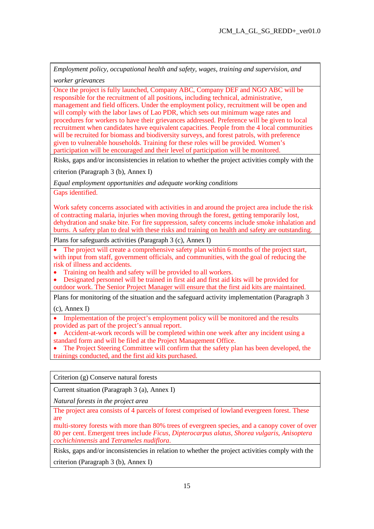*Employment policy, occupational health and safety, wages, training and supervision, and* 

*worker grievances* 

Once the project is fully launched, Company ABC, Company DEF and NGO ABC will be responsible for the recruitment of all positions, including technical, administrative, management and field officers. Under the employment policy, recruitment will be open and will comply with the labor laws of Lao PDR, which sets out minimum wage rates and procedures for workers to have their grievances addressed. Preference will be given to local recruitment when candidates have equivalent capacities. People from the 4 local communities will be recruited for biomass and biodiversity surveys, and forest patrols, with preference given to vulnerable households. Training for these roles will be provided. Women's participation will be encouraged and their level of participation will be monitored.

Risks, gaps and/or inconsistencies in relation to whether the project activities comply with the

criterion (Paragraph 3 (b), Annex I)

*Equal employment opportunities and adequate working conditions* 

Gaps identified.

Work safety concerns associated with activities in and around the project area include the risk of contracting malaria, injuries when moving through the forest, getting temporarily lost, dehydration and snake bite. For fire suppression, safety concerns include smoke inhalation and burns. A safety plan to deal with these risks and training on health and safety are outstanding.

Plans for safeguards activities (Paragraph 3 (c), Annex I)

The project will create a comprehensive safety plan within 6 months of the project start, with input from staff, government officials, and communities, with the goal of reducing the risk of illness and accidents.

· Training on health and safety will be provided to all workers.

· Designated personnel will be trained in first aid and first aid kits will be provided for outdoor work. The Senior Project Manager will ensure that the first aid kits are maintained.

Plans for monitoring of the situation and the safeguard activity implementation (Paragraph 3

(c), Annex I)

Implementation of the project's employment policy will be monitored and the results provided as part of the project's annual report.

Accident-at-work records will be completed within one week after any incident using a standard form and will be filed at the Project Management Office.

The Project Steering Committee will confirm that the safety plan has been developed, the trainings conducted, and the first aid kits purchased.

Criterion (g) Conserve natural forests

Current situation (Paragraph 3 (a), Annex I)

*Natural forests in the project area* 

The project area consists of 4 parcels of forest comprised of lowland evergreen forest. These are

multi-storey forests with more than 80% trees of evergreen species, and a canopy cover of over 80 per cent. Emergent trees include *Ficus*, *Dipterocarpus alatus*, *Shorea vulgaris*, *Anisoptera cochichinnensis* and *Tetrameles nudiflora*.

Risks, gaps and/or inconsistencies in relation to whether the project activities comply with the

criterion (Paragraph 3 (b), Annex I)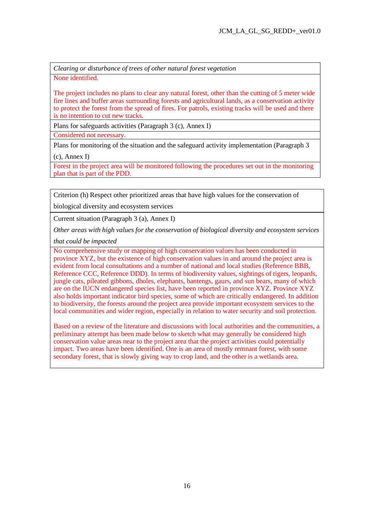*Clearing or disturbance of trees of other natural forest vegetation* 

None identified.

The project includes no plans to clear any natural forest, other than the cutting of 5 meter wide fire lines and buffer areas surrounding forests and agricultural lands, as a conservation activity to protect the forest from the spread of fires. For patrols, existing tracks will be used and there is no intention to cut new tracks.

Plans for safeguards activities (Paragraph 3 (c), Annex I)

Considered not necessary.

Plans for monitoring of the situation and the safeguard activity implementation (Paragraph 3

(c), Annex I)

Forest in the project area will be monitored following the procedures set out in the monitoring plan that is part of the PDD.

Criterion (h) Respect other prioritized areas that have high values for the conservation of

biological diversity and ecosystem services

Current situation (Paragraph 3 (a), Annex I)

*Other areas with high values for the conservation of biological diversity and ecosystem services* 

*that could be impacted* 

No comprehensive study or mapping of high conservation values has been conducted in province XYZ, but the existence of high conservation values in and around the project area is evident from local consultations and a number of national and local studies (Reference BBB, Reference CCC, Reference DDD). In terms of biodiversity values, sightings of tigers, leopards, jungle cats, pileated gibbons, dholes, elephants, bantengs, gaurs, and sun bears, many of which are on the IUCN endangered species list, have been reported in province XYZ. Province XYZ also holds important indicator bird species, some of which are critically endangered. In addition to biodiversity, the forests around the project area provide important ecosystem services to the local communities and wider region, especially in relation to water security and soil protection.

Based on a review of the literature and discussions with local authorities and the communities, a preliminary attempt has been made below to sketch what may generally be considered high conservation value areas near to the project area that the project activities could potentially impact. Two areas have been identified. One is an area of mostly remnant forest, with some secondary forest, that is slowly giving way to crop land, and the other is a wetlands area.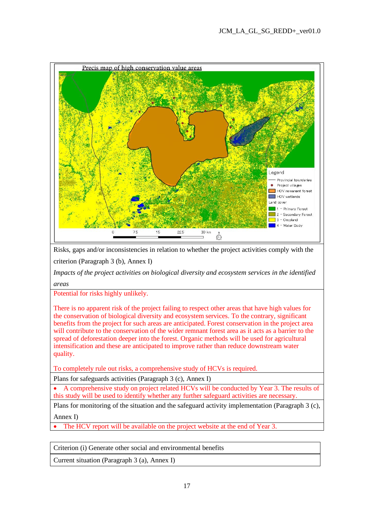

Risks, gaps and/or inconsistencies in relation to whether the project activities comply with the criterion (Paragraph 3 (b), Annex I)

*Impacts of the project activities on biological diversity and ecosystem services in the identified areas* 

Potential for risks highly unlikely.

There is no apparent risk of the project failing to respect other areas that have high values for the conservation of biological diversity and ecosystem services. To the contrary, significant benefits from the project for such areas are anticipated. Forest conservation in the project area will contribute to the conservation of the wider remnant forest area as it acts as a barrier to the spread of deforestation deeper into the forest. Organic methods will be used for agricultural intensification and these are anticipated to improve rather than reduce downstream water quality.

To completely rule out risks, a comprehensive study of HCVs is required.

Plans for safeguards activities (Paragraph 3 (c), Annex I)

· A comprehensive study on project related HCVs will be conducted by Year 3. The results of this study will be used to identify whether any further safeguard activities are necessary.

Plans for monitoring of the situation and the safeguard activity implementation (Paragraph 3 (c), Annex I)

The HCV report will be available on the project website at the end of Year 3.

Criterion (i) Generate other social and environmental benefits

Current situation (Paragraph 3 (a), Annex I)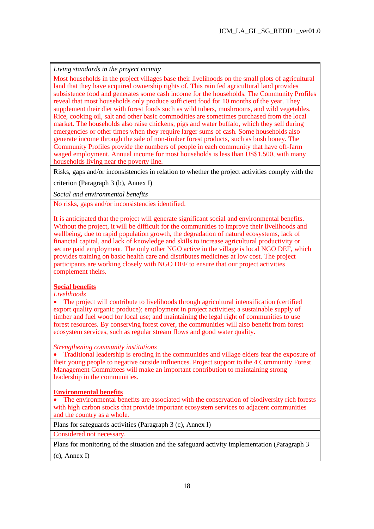*Living standards in the project vicinity* 

Most households in the project villages base their livelihoods on the small plots of agricultural land that they have acquired ownership rights of. This rain fed agricultural land provides subsistence food and generates some cash income for the households. The Community Profiles reveal that most households only produce sufficient food for 10 months of the year. They supplement their diet with forest foods such as wild tubers, mushrooms, and wild vegetables. Rice, cooking oil, salt and other basic commodities are sometimes purchased from the local market. The households also raise chickens, pigs and water buffalo, which they sell during emergencies or other times when they require larger sums of cash. Some households also generate income through the sale of non-timber forest products, such as bush honey. The Community Profiles provide the numbers of people in each community that have off-farm waged employment. Annual income for most households is less than US\$1,500, with many households living near the poverty line.

Risks, gaps and/or inconsistencies in relation to whether the project activities comply with the

criterion (Paragraph 3 (b), Annex I)

*Social and environmental benefits* 

No risks, gaps and/or inconsistencies identified.

It is anticipated that the project will generate significant social and environmental benefits. Without the project, it will be difficult for the communities to improve their livelihoods and wellbeing, due to rapid population growth, the degradation of natural ecosystems, lack of financial capital, and lack of knowledge and skills to increase agricultural productivity or secure paid employment. The only other NGO active in the village is local NGO DEF, which provides training on basic health care and distributes medicines at low cost. The project participants are working closely with NGO DEF to ensure that our project activities complement theirs.

### **Social benefits**

*Livelihoods* 

• The project will contribute to livelihoods through agricultural intensification (certified export quality organic produce); employment in project activities; a sustainable supply of timber and fuel wood for local use; and maintaining the legal right of communities to use forest resources. By conserving forest cover, the communities will also benefit from forest ecosystem services, such as regular stream flows and good water quality.

### *Strengthening community institutions*

• Traditional leadership is eroding in the communities and village elders fear the exposure of their young people to negative outside influences. Project support to the 4 Community Forest Management Committees will make an important contribution to maintaining strong leadership in the communities.

### **Environmental benefits**

• The environmental benefits are associated with the conservation of biodiversity rich forests with high carbon stocks that provide important ecosystem services to adjacent communities and the country as a whole.

Plans for safeguards activities (Paragraph 3 (c), Annex I)

Considered not necessary.

Plans for monitoring of the situation and the safeguard activity implementation (Paragraph 3

(c), Annex I)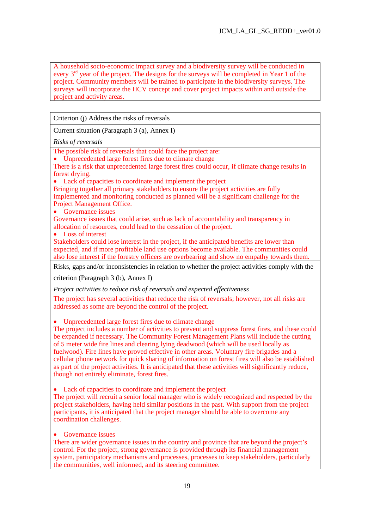A household socio-economic impact survey and a biodiversity survey will be conducted in every  $3<sup>rd</sup>$  year of the project. The designs for the surveys will be completed in Year 1 of the project. Community members will be trained to participate in the biodiversity surveys. The surveys will incorporate the HCV concept and cover project impacts within and outside the project and activity areas.

Criterion (j) Address the risks of reversals

Current situation (Paragraph 3 (a), Annex I)

*Risks of reversals* 

The possible risk of reversals that could face the project are:

· Unprecedented large forest fires due to climate change

There is a risk that unprecedented large forest fires could occur, if climate change results in forest drying.

• Lack of capacities to coordinate and implement the project

Bringing together all primary stakeholders to ensure the project activities are fully implemented and monitoring conducted as planned will be a significant challenge for the Project Management Office.

• Governance issues

Governance issues that could arise, such as lack of accountability and transparency in allocation of resources, could lead to the cessation of the project.

• Loss of interest

Stakeholders could lose interest in the project, if the anticipated benefits are lower than expected, and if more profitable land use options become available. The communities could also lose interest if the forestry officers are overbearing and show no empathy towards them.

Risks, gaps and/or inconsistencies in relation to whether the project activities comply with the

criterion (Paragraph 3 (b), Annex I)

*Project activities to reduce risk of reversals and expected effectiveness* 

The project has several activities that reduce the risk of reversals; however, not all risks are addressed as some are beyond the control of the project.

· Unprecedented large forest fires due to climate change

The project includes a number of activities to prevent and suppress forest fires, and these could be expanded if necessary. The Community Forest Management Plans will include the cutting of 5 meter wide fire lines and clearing lying deadwood (which will be used locally as fuelwood). Fire lines have proved effective in other areas. Voluntary fire brigades and a cellular phone network for quick sharing of information on forest fires will also be established as part of the project activities. It is anticipated that these activities will significantly reduce, though not entirely eliminate, forest fires.

• Lack of capacities to coordinate and implement the project

The project will recruit a senior local manager who is widely recognized and respected by the project stakeholders, having held similar positions in the past. With support from the project participants, it is anticipated that the project manager should be able to overcome any coordination challenges.

• Governance issues

There are wider governance issues in the country and province that are beyond the project's control. For the project, strong governance is provided through its financial management system, participatory mechanisms and processes, processes to keep stakeholders, particularly the communities, well informed, and its steering committee.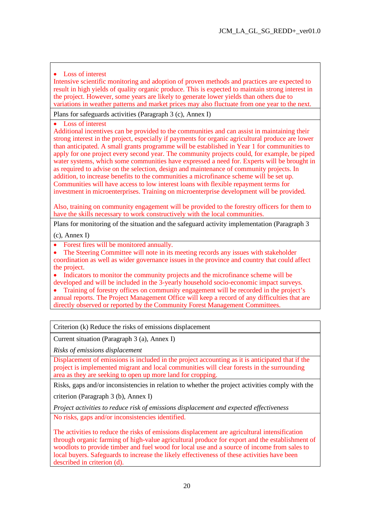## • Loss of interest

Intensive scientific monitoring and adoption of proven methods and practices are expected to result in high yields of quality organic produce. This is expected to maintain strong interest in the project. However, some years are likely to generate lower yields than others due to variations in weather patterns and market prices may also fluctuate from one year to the next.

Plans for safeguards activities (Paragraph 3 (c), Annex I)

Loss of interest

Additional incentives can be provided to the communities and can assist in maintaining their strong interest in the project, especially if payments for organic agricultural produce are lower than anticipated. A small grants programme will be established in Year 1 for communities to apply for one project every second year. The community projects could, for example, be piped water systems, which some communities have expressed a need for. Experts will be brought in as required to advise on the selection, design and maintenance of community projects. In addition, to increase benefits to the communities a microfinance scheme will be set up. Communities will have access to low interest loans with flexible repayment terms for investment in microenterprises. Training on microenterprise development will be provided.

Also, training on community engagement will be provided to the forestry officers for them to have the skills necessary to work constructively with the local communities.

Plans for monitoring of the situation and the safeguard activity implementation (Paragraph 3

(c), Annex I)

- Forest fires will be monitored annually.
- The Steering Committee will note in its meeting records any issues with stakeholder coordination as well as wider governance issues in the province and country that could affect the project.
- · Indicators to monitor the community projects and the microfinance scheme will be developed and will be included in the 3-yearly household socio-economic impact surveys.

• Training of forestry offices on community engagement will be recorded in the project's annual reports. The Project Management Office will keep a record of any difficulties that are directly observed or reported by the Community Forest Management Committees.

Criterion (k) Reduce the risks of emissions displacement

Current situation (Paragraph 3 (a), Annex I)

*Risks of emissions displacement* 

Displacement of emissions is included in the project accounting as it is anticipated that if the project is implemented migrant and local communities will clear forests in the surrounding area as they are seeking to open up more land for cropping.

Risks, gaps and/or inconsistencies in relation to whether the project activities comply with the

criterion (Paragraph 3 (b), Annex I)

*Project activities to reduce risk of emissions displacement and expected effectiveness* 

No risks, gaps and/or inconsistencies identified.

The activities to reduce the risks of emissions displacement are agricultural intensification through organic farming of high-value agricultural produce for export and the establishment of woodlots to provide timber and fuel wood for local use and a source of income from sales to local buyers. Safeguards to increase the likely effectiveness of these activities have been described in criterion (d).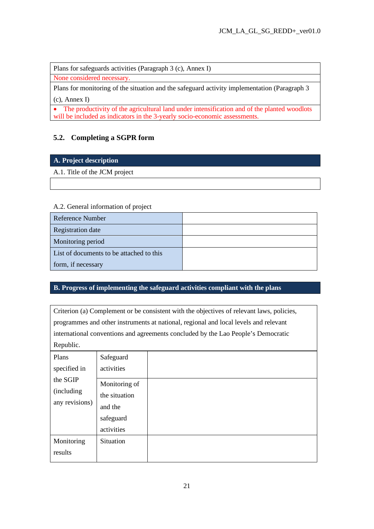Plans for safeguards activities (Paragraph 3 (c), Annex I)

None considered necessary.

Plans for monitoring of the situation and the safeguard activity implementation (Paragraph 3 (c), Annex I)

• The productivity of the agricultural land under intensification and of the planted woodlots will be included as indicators in the 3-yearly socio-economic assessments.

# **5.2. Completing a SGPR form**

## **A. Project description**

A.1. Title of the JCM project

## A.2. General information of project

| Reference Number                         |  |
|------------------------------------------|--|
| Registration date                        |  |
| Monitoring period                        |  |
| List of documents to be attached to this |  |
| form, if necessary                       |  |

## **B. Progress of implementing the safeguard activities compliant with the plans**

Criterion (a) Complement or be consistent with the objectives of relevant laws, policies, programmes and other instruments at national, regional and local levels and relevant international conventions and agreements concluded by the Lao People's Democratic Republic.

| Plans                                    | Safeguard                                 |  |
|------------------------------------------|-------------------------------------------|--|
| specified in                             | activities                                |  |
| the SGIP<br>(including<br>any revisions) | Monitoring of<br>the situation<br>and the |  |
|                                          | safeguard<br>activities                   |  |
| Monitoring<br>results                    | Situation                                 |  |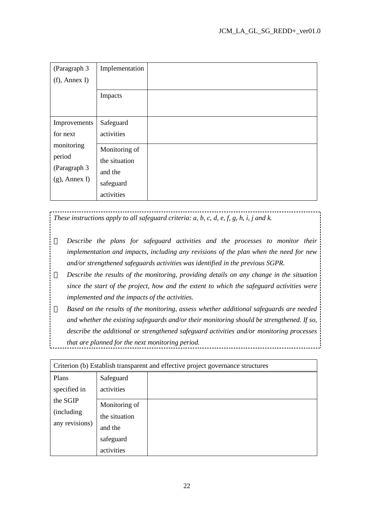| (Paragraph 3     | Implementation |  |
|------------------|----------------|--|
| $(f)$ , Annex I) |                |  |
|                  | Impacts        |  |
|                  |                |  |
| Improvements     | Safeguard      |  |
| for next         | activities     |  |
| monitoring       | Monitoring of  |  |
| period           | the situation  |  |
| (Paragraph 3     | and the        |  |
| $(g)$ , Annex I) | safeguard      |  |
|                  | activities     |  |

# *These instructions apply to all safeguard criteria: a, b, c, d, e, f, g, h, i, j and k.*

*Describe the plans for safeguard activities and the processes to monitor their implementation and impacts, including any revisions of the plan when the need for new and/or strengthened safeguards activities was identified in the previous SGPR.* 

*Describe the results of the monitoring, providing details on any change in the situation since the start of the project, how and the extent to which the safeguard activities were implemented and the impacts of the activities.* 

*Based on the results of the monitoring, assess whether additional safeguards are needed and whether the existing safeguards and/or their monitoring should be strengthened. If so, describe the additional or strengthened safeguard activities and/or monitoring processes that are planned for the next monitoring period.*  the contract of the contract of the contract of the contract of the contract of

| Criterion (b) Establish transparent and effective project governance structures |                                                                      |  |
|---------------------------------------------------------------------------------|----------------------------------------------------------------------|--|
| Plans<br>specified in                                                           | Safeguard<br>activities                                              |  |
| the SGIP<br>(including)<br>any revisions)                                       | Monitoring of<br>the situation<br>and the<br>safeguard<br>activities |  |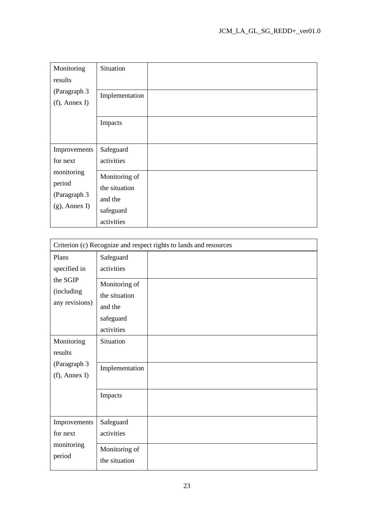| Monitoring                       | Situation      |  |
|----------------------------------|----------------|--|
| results                          |                |  |
| (Paragraph 3<br>$(f)$ , Annex I) | Implementation |  |
|                                  |                |  |
|                                  | Impacts        |  |
|                                  |                |  |
| Improvements                     | Safeguard      |  |
| for next                         | activities     |  |
| monitoring                       | Monitoring of  |  |
|                                  |                |  |
| period                           | the situation  |  |
| (Paragraph 3                     | and the        |  |
| $(g)$ , Annex I)                 | safeguard      |  |

| Criterion (c) Recognize and respect rights to lands and resources |                                                                                                 |  |  |
|-------------------------------------------------------------------|-------------------------------------------------------------------------------------------------|--|--|
| Plans<br>specified in<br>the SGIP<br>(including<br>any revisions) | Safeguard<br>activities<br>Monitoring of<br>the situation<br>and the<br>safeguard<br>activities |  |  |
| Monitoring<br>results<br>(Paragraph 3<br>$(f)$ , Annex I)         | Situation<br>Implementation                                                                     |  |  |
| Improvements                                                      | Impacts<br>Safeguard                                                                            |  |  |
| for next<br>monitoring<br>period                                  | activities<br>Monitoring of<br>the situation                                                    |  |  |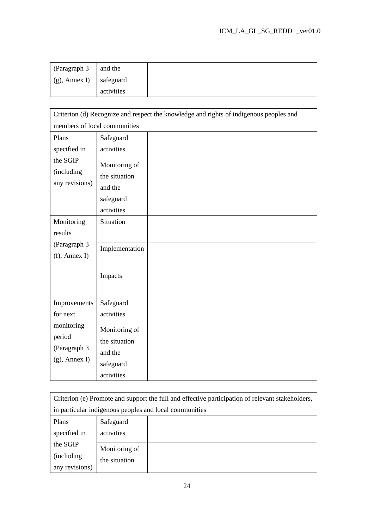| (Paragraph 3                     | and the    |  |
|----------------------------------|------------|--|
| $\mid$ (g), Annex I)   safeguard |            |  |
|                                  | activities |  |

| Criterion (d) Recognize and respect the knowledge and rights of indigenous peoples and |                                                                      |  |  |
|----------------------------------------------------------------------------------------|----------------------------------------------------------------------|--|--|
| members of local communities                                                           |                                                                      |  |  |
| Plans<br>specified in                                                                  | Safeguard<br>activities                                              |  |  |
| the SGIP<br>(including<br>any revisions)                                               | Monitoring of<br>the situation<br>and the<br>safeguard<br>activities |  |  |
| Monitoring<br>results                                                                  | Situation                                                            |  |  |
| (Paragraph 3<br>$(f)$ , Annex I)                                                       | Implementation                                                       |  |  |
|                                                                                        | Impacts                                                              |  |  |
| Improvements<br>for next                                                               | Safeguard<br>activities                                              |  |  |
| monitoring<br>period<br>(Paragraph 3<br>$(g)$ , Annex I)                               | Monitoring of<br>the situation<br>and the<br>safeguard<br>activities |  |  |

| Criterion (e) Promote and support the full and effective participation of relevant stakeholders, |               |                                                        |
|--------------------------------------------------------------------------------------------------|---------------|--------------------------------------------------------|
|                                                                                                  |               | in particular indigenous peoples and local communities |
| Plans                                                                                            | Safeguard     |                                                        |
| activities<br>specified in                                                                       |               |                                                        |
| the SGIP                                                                                         | Monitoring of |                                                        |
| (including)<br>the situation                                                                     |               |                                                        |
| any revisions)                                                                                   |               |                                                        |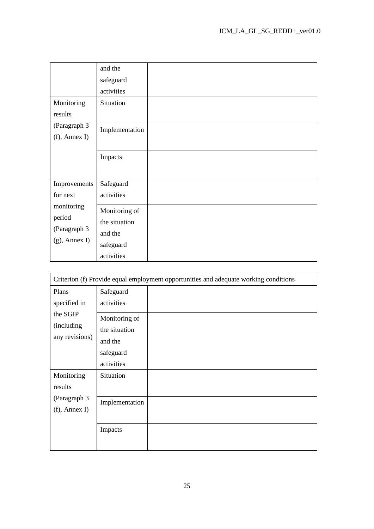| Monitoring<br>results<br>(Paragraph 3<br>$(f)$ , Annex I)                            | and the<br>safeguard<br>activities<br>Situation<br>Implementation<br>Impacts |  |
|--------------------------------------------------------------------------------------|------------------------------------------------------------------------------|--|
| Improvements<br>for next<br>monitoring<br>period<br>(Paragraph 3<br>$(g)$ , Annex I) | Safeguard<br>activities<br>Monitoring of<br>the situation<br>and the         |  |
|                                                                                      | safeguard<br>activities                                                      |  |

| Criterion (f) Provide equal employment opportunities and adequate working conditions |                                                                      |  |
|--------------------------------------------------------------------------------------|----------------------------------------------------------------------|--|
| Plans<br>specified in                                                                | Safeguard<br>activities                                              |  |
| the SGIP<br>(including)<br>any revisions)                                            | Monitoring of<br>the situation<br>and the<br>safeguard<br>activities |  |
| Monitoring<br>results                                                                | Situation                                                            |  |
| (Paragraph 3<br>$(f)$ , Annex I)                                                     | Implementation                                                       |  |
|                                                                                      | Impacts                                                              |  |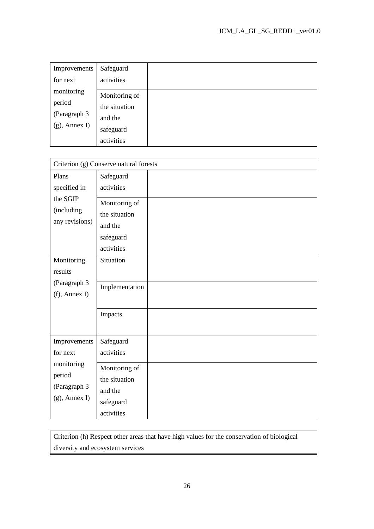| Improvements                                             | Safeguard                                                            |  |
|----------------------------------------------------------|----------------------------------------------------------------------|--|
| for next                                                 | activities                                                           |  |
| monitoring<br>period<br>(Paragraph 3<br>$(g)$ , Annex I) | Monitoring of<br>the situation<br>and the<br>safeguard<br>activities |  |

| Criterion (g) Conserve natural forests                               |                                                                      |  |
|----------------------------------------------------------------------|----------------------------------------------------------------------|--|
| Plans                                                                | Safeguard                                                            |  |
| specified in                                                         | activities                                                           |  |
| the SGIP<br>(including<br>any revisions)                             | Monitoring of<br>the situation<br>and the<br>safeguard<br>activities |  |
| Monitoring<br>results                                                | Situation                                                            |  |
| (Paragraph 3<br>$(f)$ , Annex I)                                     | Implementation                                                       |  |
|                                                                      | Impacts                                                              |  |
| Improvements                                                         | Safeguard                                                            |  |
| for next<br>monitoring<br>period<br>(Paragraph 3<br>$(g)$ , Annex I) | activities                                                           |  |
|                                                                      | Monitoring of<br>the situation<br>and the<br>safeguard<br>activities |  |

Criterion (h) Respect other areas that have high values for the conservation of biological diversity and ecosystem services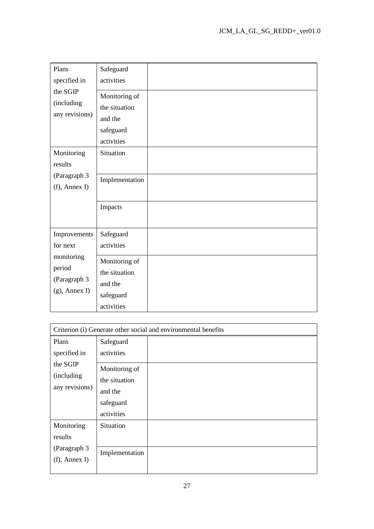| Plans                                                    | Safeguard                                                            |  |
|----------------------------------------------------------|----------------------------------------------------------------------|--|
| specified in                                             | activities                                                           |  |
| the SGIP<br>(including<br>any revisions)                 | Monitoring of<br>the situation<br>and the                            |  |
|                                                          | safeguard<br>activities                                              |  |
| Monitoring<br>results                                    | Situation                                                            |  |
| (Paragraph 3<br>$(f)$ , Annex I)                         | Implementation                                                       |  |
|                                                          | Impacts                                                              |  |
| Improvements                                             | Safeguard                                                            |  |
| for next                                                 | activities                                                           |  |
| monitoring<br>period<br>(Paragraph 3<br>$(g)$ , Annex I) | Monitoring of<br>the situation<br>and the<br>safeguard<br>activities |  |

| Criterion (i) Generate other social and environmental benefits |                |  |
|----------------------------------------------------------------|----------------|--|
| Plans                                                          | Safeguard      |  |
| specified in                                                   | activities     |  |
| the SGIP                                                       | Monitoring of  |  |
| (including)<br>any revisions)                                  | the situation  |  |
|                                                                | and the        |  |
|                                                                | safeguard      |  |
|                                                                | activities     |  |
| Monitoring                                                     | Situation      |  |
| results<br>(Paragraph 3)                                       |                |  |
|                                                                | Implementation |  |
| $(f)$ , Annex I)                                               |                |  |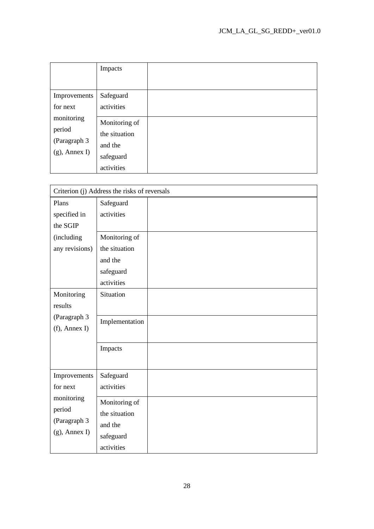|                                                           | Impacts                                                              |  |
|-----------------------------------------------------------|----------------------------------------------------------------------|--|
|                                                           |                                                                      |  |
| Improvements                                              | Safeguard                                                            |  |
| for next                                                  | activities                                                           |  |
| monitoring<br>period<br>(Paragraph 3)<br>$(g)$ , Annex I) | Monitoring of<br>the situation<br>and the<br>safeguard<br>activities |  |

|                                  | Criterion (j) Address the risks of reversals |  |  |
|----------------------------------|----------------------------------------------|--|--|
| Plans                            | Safeguard                                    |  |  |
| specified in                     | activities                                   |  |  |
| the SGIP                         |                                              |  |  |
| (including                       | Monitoring of                                |  |  |
| any revisions)                   | the situation                                |  |  |
|                                  | and the                                      |  |  |
|                                  | safeguard                                    |  |  |
|                                  | activities                                   |  |  |
| Monitoring                       | Situation                                    |  |  |
| results                          |                                              |  |  |
| (Paragraph 3<br>$(f)$ , Annex I) | Implementation                               |  |  |
|                                  |                                              |  |  |
|                                  |                                              |  |  |
|                                  | Impacts                                      |  |  |
|                                  |                                              |  |  |
| Improvements                     | Safeguard                                    |  |  |
| for next                         | activities                                   |  |  |
| monitoring                       | Monitoring of                                |  |  |
| period                           | the situation                                |  |  |
| (Paragraph 3<br>$(g)$ , Annex I) | and the                                      |  |  |
|                                  | safeguard                                    |  |  |
|                                  | activities                                   |  |  |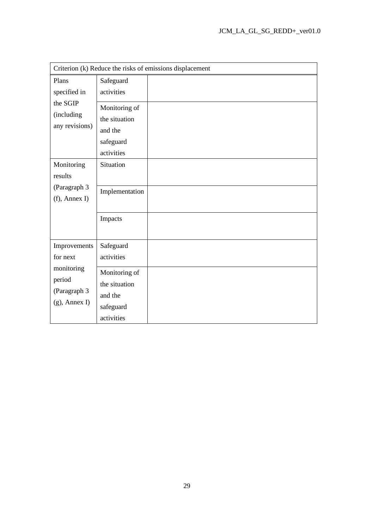| Criterion (k) Reduce the risks of emissions displacement          |                                                                      |  |
|-------------------------------------------------------------------|----------------------------------------------------------------------|--|
| Plans<br>specified in<br>the SGIP<br>(including<br>any revisions) | Safeguard<br>activities                                              |  |
|                                                                   | Monitoring of<br>the situation<br>and the<br>safeguard<br>activities |  |
| Monitoring<br>results                                             | Situation                                                            |  |
| (Paragraph 3<br>$(f)$ , Annex I)                                  | Implementation                                                       |  |
|                                                                   | Impacts                                                              |  |
| Improvements<br>for next                                          | Safeguard<br>activities                                              |  |
| monitoring<br>period<br>(Paragraph 3<br>$(g)$ , Annex I)          | Monitoring of<br>the situation<br>and the<br>safeguard<br>activities |  |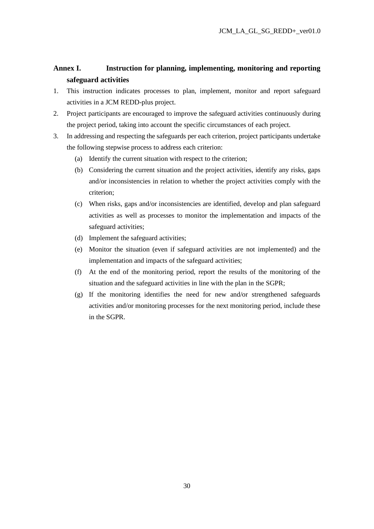# **Annex I. Instruction for planning, implementing, monitoring and reporting safeguard activities**

- 1. This instruction indicates processes to plan, implement, monitor and report safeguard activities in a JCM REDD-plus project.
- 2. Project participants are encouraged to improve the safeguard activities continuously during the project period, taking into account the specific circumstances of each project.
- 3. In addressing and respecting the safeguards per each criterion, project participants undertake the following stepwise process to address each criterion:
	- (a) Identify the current situation with respect to the criterion;
	- (b) Considering the current situation and the project activities, identify any risks, gaps and/or inconsistencies in relation to whether the project activities comply with the criterion;
	- (c) When risks, gaps and/or inconsistencies are identified, develop and plan safeguard activities as well as processes to monitor the implementation and impacts of the safeguard activities;
	- (d) Implement the safeguard activities;
	- (e) Monitor the situation (even if safeguard activities are not implemented) and the implementation and impacts of the safeguard activities;
	- (f) At the end of the monitoring period, report the results of the monitoring of the situation and the safeguard activities in line with the plan in the SGPR;
	- (g) If the monitoring identifies the need for new and/or strengthened safeguards activities and/or monitoring processes for the next monitoring period, include these in the SGPR.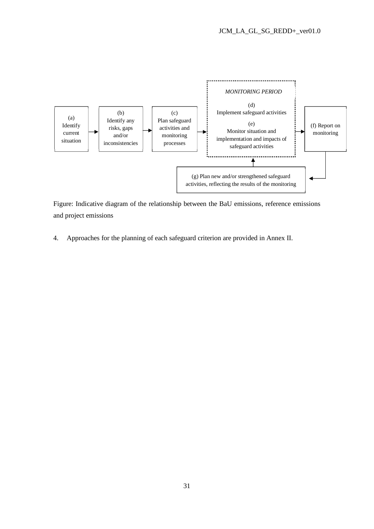

Figure: Indicative diagram of the relationship between the BaU emissions, reference emissions and project emissions

4. Approaches for the planning of each safeguard criterion are provided in Annex II.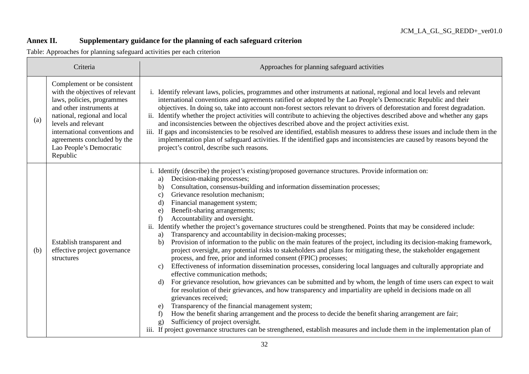# **Annex II. Supplementary guidance for the planning of each safeguard criterion**

Table: Approaches for planning safeguard activities per each criterion

| Criteria |                                                                                                                                                                                                                                                                                        | Approaches for planning safeguard activities                                                                                                                                                                                                                                                                                                                                                                                                                                                                                                                                                                                                                                                                                                                                                                                                                                                                                                                                                                                                                                                                                                                                                                                                                                                                                                                                                                                                                                                                                                                                                                                                                                                                                   |  |
|----------|----------------------------------------------------------------------------------------------------------------------------------------------------------------------------------------------------------------------------------------------------------------------------------------|--------------------------------------------------------------------------------------------------------------------------------------------------------------------------------------------------------------------------------------------------------------------------------------------------------------------------------------------------------------------------------------------------------------------------------------------------------------------------------------------------------------------------------------------------------------------------------------------------------------------------------------------------------------------------------------------------------------------------------------------------------------------------------------------------------------------------------------------------------------------------------------------------------------------------------------------------------------------------------------------------------------------------------------------------------------------------------------------------------------------------------------------------------------------------------------------------------------------------------------------------------------------------------------------------------------------------------------------------------------------------------------------------------------------------------------------------------------------------------------------------------------------------------------------------------------------------------------------------------------------------------------------------------------------------------------------------------------------------------|--|
| (a)      | Complement or be consistent<br>with the objectives of relevant<br>laws, policies, programmes<br>and other instruments at<br>national, regional and local<br>levels and relevant<br>international conventions and<br>agreements concluded by the<br>Lao People's Democratic<br>Republic | Identify relevant laws, policies, programmes and other instruments at national, regional and local levels and relevant<br>international conventions and agreements ratified or adopted by the Lao People's Democratic Republic and their<br>objectives. In doing so, take into account non-forest sectors relevant to drivers of deforestation and forest degradation.<br>ii. Identify whether the project activities will contribute to achieving the objectives described above and whether any gaps<br>and inconsistencies between the objectives described above and the project activities exist.<br>iii. If gaps and inconsistencies to be resolved are identified, establish measures to address these issues and include them in the<br>implementation plan of safeguard activities. If the identified gaps and inconsistencies are caused by reasons beyond the<br>project's control, describe such reasons.                                                                                                                                                                                                                                                                                                                                                                                                                                                                                                                                                                                                                                                                                                                                                                                                          |  |
| (b)      | Establish transparent and<br>effective project governance<br>structures                                                                                                                                                                                                                | i. Identify (describe) the project's existing/proposed governance structures. Provide information on:<br>Decision-making processes;<br>a)<br>Consultation, consensus-building and information dissemination processes;<br>b)<br>Grievance resolution mechanism;<br>c)<br>Financial management system;<br>$\mathbf{d}$<br>Benefit-sharing arrangements;<br>e)<br>Accountability and oversight.<br>f)<br>ii. Identify whether the project's governance structures could be strengthened. Points that may be considered include:<br>Transparency and accountability in decision-making processes;<br>a)<br>Provision of information to the public on the main features of the project, including its decision-making framework,<br>b)<br>project oversight, any potential risks to stakeholders and plans for mitigating these, the stakeholder engagement<br>process, and free, prior and informed consent (FPIC) processes;<br>Effectiveness of information dissemination processes, considering local languages and culturally appropriate and<br>$\mathbf{c})$<br>effective communication methods;<br>For grievance resolution, how grievances can be submitted and by whom, the length of time users can expect to wait<br>d)<br>for resolution of their grievances, and how transparency and impartiality are upheld in decisions made on all<br>grievances received;<br>Transparency of the financial management system;<br>e)<br>How the benefit sharing arrangement and the process to decide the benefit sharing arrangement are fair;<br>f)<br>Sufficiency of project oversight.<br>g)<br>iii. If project governance structures can be strengthened, establish measures and include them in the implementation plan of |  |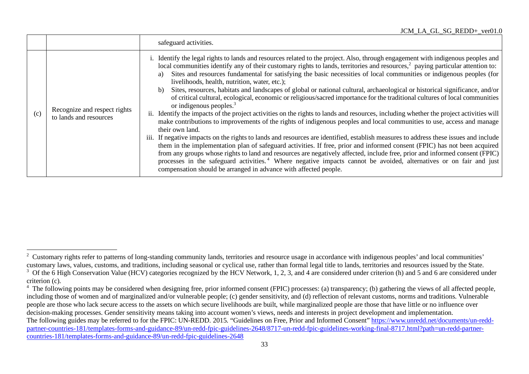### JCM\_LA\_GL\_SG\_REDD+\_ver01.0

|     |                                                        | safeguard activities.                                                                                                                                                                                                                                                                                                                                                                                                                                                                                                                                                                                                                                                                                                                                                                                                                                                                                                                                                                                                                                                                                                                                                                                                                                                                                                                                                                                                                                                                                                                                                                                                                                            |
|-----|--------------------------------------------------------|------------------------------------------------------------------------------------------------------------------------------------------------------------------------------------------------------------------------------------------------------------------------------------------------------------------------------------------------------------------------------------------------------------------------------------------------------------------------------------------------------------------------------------------------------------------------------------------------------------------------------------------------------------------------------------------------------------------------------------------------------------------------------------------------------------------------------------------------------------------------------------------------------------------------------------------------------------------------------------------------------------------------------------------------------------------------------------------------------------------------------------------------------------------------------------------------------------------------------------------------------------------------------------------------------------------------------------------------------------------------------------------------------------------------------------------------------------------------------------------------------------------------------------------------------------------------------------------------------------------------------------------------------------------|
| (c) | Recognize and respect rights<br>to lands and resources | Identify the legal rights to lands and resources related to the project. Also, through engagement with indigenous peoples and<br>local communities identify any of their customary rights to lands, territories and resources, <sup>2</sup> paying particular attention to:<br>Sites and resources fundamental for satisfying the basic necessities of local communities or indigenous peoples (for<br>a)<br>livelihoods, health, nutrition, water, etc.);<br>Sites, resources, habitats and landscapes of global or national cultural, archaeological or historical significance, and/or<br>b)<br>of critical cultural, ecological, economic or religious/sacred importance for the traditional cultures of local communities<br>or indigenous peoples. $3$<br>Identify the impacts of the project activities on the rights to lands and resources, including whether the project activities will<br>11.<br>make contributions to improvements of the rights of indigenous peoples and local communities to use, access and manage<br>their own land.<br>iii. If negative impacts on the rights to lands and resources are identified, establish measures to address these issues and include<br>them in the implementation plan of safeguard activities. If free, prior and informed consent (FPIC) has not been acquired<br>from any groups whose rights to land and resources are negatively affected, include free, prior and informed consent (FPIC)<br>processes in the safeguard activities. <sup>4</sup> Where negative impacts cannot be avoided, alternatives or on fair and just<br>compensation should be arranged in advance with affected people. |

<sup>&</sup>lt;sup>2</sup> Customary rights refer to patterns of long-standing community lands, territories and resource usage in accordance with indigenous peoples' and local communities' customary laws, values, customs, and traditions, including seasonal or cyclical use, rather than formal legal title to lands, territories and resources issued by the State.

 $3\,$  Of the 6 High Conservation Value (HCV) categories recognized by the HCV Network, 1, 2, 3, and 4 are considered under criterion (h) and 5 and 6 are considered under criterion (c).

<sup>&</sup>lt;sup>4</sup> The following points may be considered when designing free, prior informed consent (FPIC) processes: (a) transparency; (b) gathering the views of all affected people, including those of women and of marginalized and/or vulnerable people; (c) gender sensitivity, and (d) reflection of relevant customs, norms and traditions. Vulnerable people are those who lack secure access to the assets on which secure livelihoods are built, while marginalized people are those that have little or no influence over decision-making processes. Gender sensitivity means taking into account women's views, needs and interests in project development and implementation. The following guides may be referred to for the FPIC: UN-REDD. 2015. "Guidelines on Free, Prior and Informed Consent" https://www.unredd.net/documents/un-reddpartner-countries-181/templates-forms-and-guidance-89/un-redd-fpic-guidelines-2648/8717-un-redd-fpic-guidelines-working-final-8717.html?path=un-redd-partnercountries-181/templates-forms-and-guidance-89/un-redd-fpic-guidelines-2648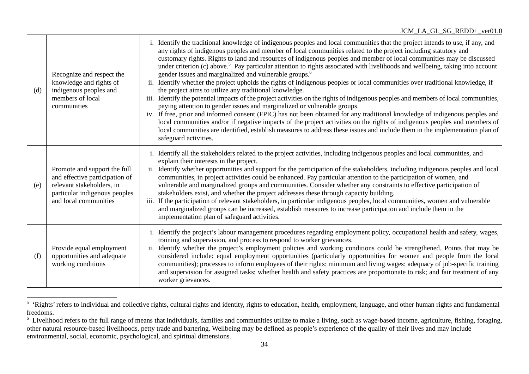| (d) | Recognize and respect the<br>knowledge and rights of<br>indigenous peoples and<br>members of local<br>communities                                     | Identify the traditional knowledge of indigenous peoples and local communities that the project intends to use, if any, and<br>any rights of indigenous peoples and member of local communities related to the project including statutory and<br>customary rights. Rights to land and resources of indigenous peoples and member of local communities may be discussed<br>under criterion (c) above. <sup>5</sup> Pay particular attention to rights associated with livelihoods and wellbeing, taking into account<br>gender issues and marginalized and vulnerable groups. <sup>6</sup><br>Identify whether the project upholds the rights of indigenous peoples or local communities over traditional knowledge, if<br>$ii$ .<br>the project aims to utilize any traditional knowledge.<br>Identify the potential impacts of the project activities on the rights of indigenous peoples and members of local communities,<br>iii.<br>paying attention to gender issues and marginalized or vulnerable groups.<br>iv. If free, prior and informed consent (FPIC) has not been obtained for any traditional knowledge of indigenous peoples and<br>local communities and/or if negative impacts of the project activities on the rights of indigenous peoples and members of<br>local communities are identified, establish measures to address these issues and include them in the implementation plan of<br>safeguard activities. |
|-----|-------------------------------------------------------------------------------------------------------------------------------------------------------|----------------------------------------------------------------------------------------------------------------------------------------------------------------------------------------------------------------------------------------------------------------------------------------------------------------------------------------------------------------------------------------------------------------------------------------------------------------------------------------------------------------------------------------------------------------------------------------------------------------------------------------------------------------------------------------------------------------------------------------------------------------------------------------------------------------------------------------------------------------------------------------------------------------------------------------------------------------------------------------------------------------------------------------------------------------------------------------------------------------------------------------------------------------------------------------------------------------------------------------------------------------------------------------------------------------------------------------------------------------------------------------------------------------------------------------|
| (e) | Promote and support the full<br>and effective participation of<br>relevant stakeholders, in<br>particular indigenous peoples<br>and local communities | Identify all the stakeholders related to the project activities, including indigenous peoples and local communities, and<br>explain their interests in the project.<br>Identify whether opportunities and support for the participation of the stakeholders, including indigenous peoples and local<br>ii.<br>communities, in project activities could be enhanced. Pay particular attention to the participation of women, and<br>vulnerable and marginalized groups and communities. Consider whether any constraints to effective participation of<br>stakeholders exist, and whether the project addresses these through capacity building.<br>If the participation of relevant stakeholders, in particular indigenous peoples, local communities, women and vulnerable<br>iii.<br>and marginalized groups can be increased, establish measures to increase participation and include them in the<br>implementation plan of safeguard activities.                                                                                                                                                                                                                                                                                                                                                                                                                                                                                  |
| (f) | Provide equal employment<br>opportunities and adequate<br>working conditions                                                                          | i. Identify the project's labour management procedures regarding employment policy, occupational health and safety, wages,<br>training and supervision, and process to respond to worker grievances.<br>Identify whether the project's employment policies and working conditions could be strengthened. Points that may be<br>ii.<br>considered include: equal employment opportunities (particularly opportunities for women and people from the local<br>communities); processes to inform employees of their rights; minimum and living wages; adequacy of job-specific training<br>and supervision for assigned tasks; whether health and safety practices are proportionate to risk; and fair treatment of any<br>worker grievances.                                                                                                                                                                                                                                                                                                                                                                                                                                                                                                                                                                                                                                                                                             |

<sup>&</sup>lt;sup>5</sup> 'Rights' refers to individual and collective rights, cultural rights and identity, rights to education, health, employment, language, and other human rights and fundamental freedoms.

<sup>&</sup>lt;sup>6</sup> Livelihood refers to the full range of means that individuals, families and communities utilize to make a living, such as wage-based income, agriculture, fishing, foraging, other natural resource-based livelihoods, petty trade and bartering. Wellbeing may be defined as people's experience of the quality of their lives and may include environmental, social, economic, psychological, and spiritual dimensions.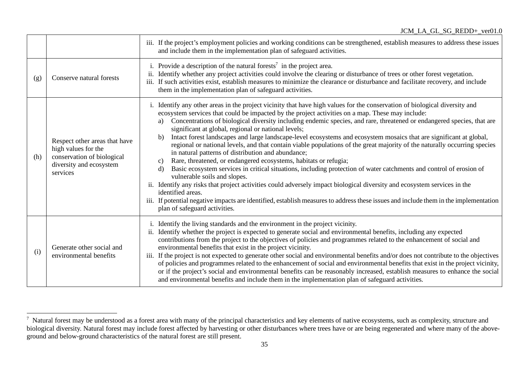|     |                                                                                                                           | iii. If the project's employment policies and working conditions can be strengthened, establish measures to address these issues<br>and include them in the implementation plan of safeguard activities.                                                                                                                                                                                                                                                                                                                                                                                                                                                                                                                                                                                                                                                                                                                                                                                                                                                                                                                                                                                                                                                                                                         |
|-----|---------------------------------------------------------------------------------------------------------------------------|------------------------------------------------------------------------------------------------------------------------------------------------------------------------------------------------------------------------------------------------------------------------------------------------------------------------------------------------------------------------------------------------------------------------------------------------------------------------------------------------------------------------------------------------------------------------------------------------------------------------------------------------------------------------------------------------------------------------------------------------------------------------------------------------------------------------------------------------------------------------------------------------------------------------------------------------------------------------------------------------------------------------------------------------------------------------------------------------------------------------------------------------------------------------------------------------------------------------------------------------------------------------------------------------------------------|
| (g) | Conserve natural forests                                                                                                  | i. Provide a description of the natural forests <sup>7</sup> in the project area.<br>Identify whether any project activities could involve the clearing or disturbance of trees or other forest vegetation.<br>$\overline{\textbf{ii}}$<br>If such activities exist, establish measures to minimize the clearance or disturbance and facilitate recovery, and include<br>iii.<br>them in the implementation plan of safeguard activities.                                                                                                                                                                                                                                                                                                                                                                                                                                                                                                                                                                                                                                                                                                                                                                                                                                                                        |
| (h) | Respect other areas that have<br>high values for the<br>conservation of biological<br>diversity and ecosystem<br>services | i. Identify any other areas in the project vicinity that have high values for the conservation of biological diversity and<br>ecosystem services that could be impacted by the project activities on a map. These may include:<br>Concentrations of biological diversity including endemic species, and rare, threatened or endangered species, that are<br>a)<br>significant at global, regional or national levels;<br>Intact forest landscapes and large landscape-level ecosystems and ecosystem mosaics that are significant at global,<br>b)<br>regional or national levels, and that contain viable populations of the great majority of the naturally occurring species<br>in natural patterns of distribution and abundance;<br>Rare, threatened, or endangered ecosystems, habitats or refugia;<br>c)<br>Basic ecosystem services in critical situations, including protection of water catchments and control of erosion of<br>$\mathbf{d}$<br>vulnerable soils and slopes.<br>ii. Identify any risks that project activities could adversely impact biological diversity and ecosystem services in the<br>identified areas.<br>iii. If potential negative impacts are identified, establish measures to address these issues and include them in the implementation<br>plan of safeguard activities. |
| (i) | Generate other social and<br>environmental benefits                                                                       | i. Identify the living standards and the environment in the project vicinity.<br>Identify whether the project is expected to generate social and environmental benefits, including any expected<br>ii.<br>contributions from the project to the objectives of policies and programmes related to the enhancement of social and<br>environmental benefits that exist in the project vicinity.<br>If the project is not expected to generate other social and environmental benefits and/or does not contribute to the objectives<br>iii.<br>of policies and programmes related to the enhancement of social and environmental benefits that exist in the project vicinity,<br>or if the project's social and environmental benefits can be reasonably increased, establish measures to enhance the social<br>and environmental benefits and include them in the implementation plan of safeguard activities.                                                                                                                                                                                                                                                                                                                                                                                                      |

 $<sup>7</sup>$  Natural forest may be understood as a forest area with many of the principal characteristics and key elements of native ecosystems, such as complexity, structure and</sup> biological diversity. Natural forest may include forest affected by harvesting or other disturbances where trees have or are being regenerated and where many of the aboveground and below-ground characteristics of the natural forest are still present.